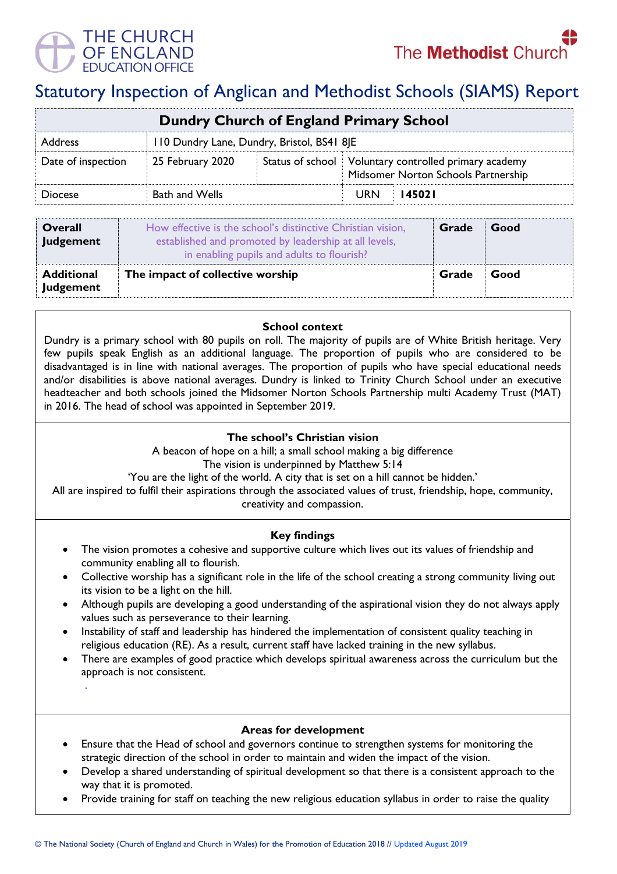

.



# Statutory Inspection of Anglican and Methodist Schools (SIAMS) Report

| Dundry Church of England Primary School |                                            |  |                                                                                                |        |  |  |
|-----------------------------------------|--------------------------------------------|--|------------------------------------------------------------------------------------------------|--------|--|--|
| <b>Address</b>                          | 110 Dundry Lane, Dundry, Bristol, BS41 8JE |  |                                                                                                |        |  |  |
| Date of inspection                      | 25 February 2020                           |  | Status of school   Voluntary controlled primary academy<br>Midsomer Norton Schools Partnership |        |  |  |
| <b>Diocese</b>                          | <b>Bath and Wells</b>                      |  | <b>URN</b>                                                                                     | 145021 |  |  |

| <b>Overall</b><br>Judgement           | How effective is the school's distinctive Christian vision,<br>established and promoted by leadership at all levels,<br>in enabling pupils and adults to flourish? | Grade | Good |
|---------------------------------------|--------------------------------------------------------------------------------------------------------------------------------------------------------------------|-------|------|
| <b>Additional</b><br><b>Judgement</b> | The impact of collective worship                                                                                                                                   | Grade | Good |

#### **School context**

Dundry is a primary school with 80 pupils on roll. The majority of pupils are of White British heritage. Very few pupils speak English as an additional language. The proportion of pupils who are considered to be disadvantaged is in line with national averages. The proportion of pupils who have special educational needs and/or disabilities is above national averages. Dundry is linked to Trinity Church School under an executive headteacher and both schools joined the Midsomer Norton Schools Partnership multi Academy Trust (MAT) in 2016. The head of school was appointed in September 2019.

## **The school's Christian vision**

A beacon of hope on a hill; a small school making a big difference

The vision is underpinned by Matthew 5:14

'You are the light of the world. A city that is set on a hill cannot be hidden.'

All are inspired to fulfil their aspirations through the associated values of trust, friendship, hope, community, creativity and compassion.

## **Key findings**

- The vision promotes a cohesive and supportive culture which lives out its values of friendship and community enabling all to flourish.
- Collective worship has a significant role in the life of the school creating a strong community living out its vision to be a light on the hill.
- Although pupils are developing a good understanding of the aspirational vision they do not always apply values such as perseverance to their learning.
- Instability of staff and leadership has hindered the implementation of consistent quality teaching in religious education (RE). As a result, current staff have lacked training in the new syllabus.
- There are examples of good practice which develops spiritual awareness across the curriculum but the approach is not consistent.

#### **Areas for development**

- Ensure that the Head of school and governors continue to strengthen systems for monitoring the strategic direction of the school in order to maintain and widen the impact of the vision.
- Develop a shared understanding of spiritual development so that there is a consistent approach to the way that it is promoted.
- Provide training for staff on teaching the new religious education syllabus in order to raise the quality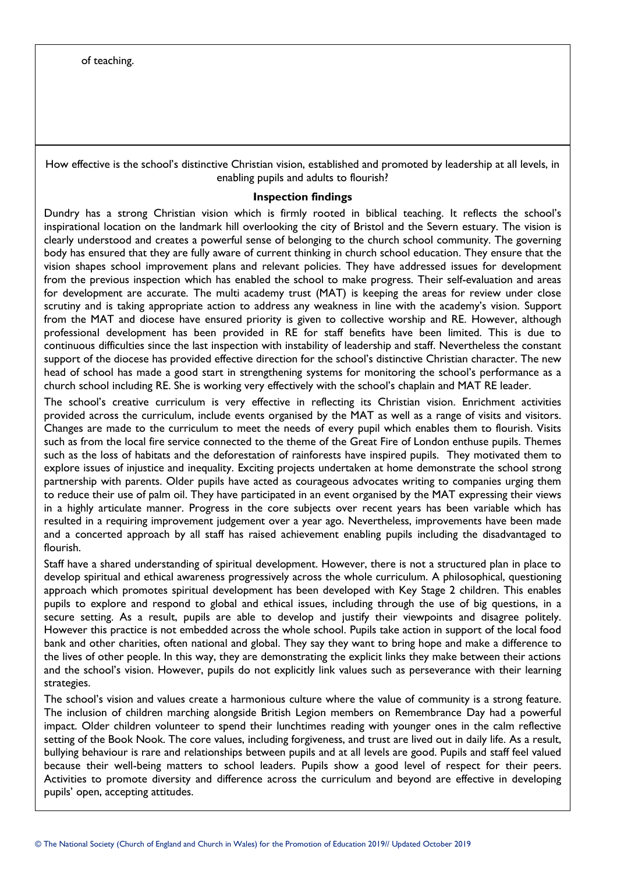How effective is the school's distinctive Christian vision, established and promoted by leadership at all levels, in enabling pupils and adults to flourish?

#### **Inspection findings**

Dundry has a strong Christian vision which is firmly rooted in biblical teaching. It reflects the school's inspirational location on the landmark hill overlooking the city of Bristol and the Severn estuary. The vision is clearly understood and creates a powerful sense of belonging to the church school community. The governing body has ensured that they are fully aware of current thinking in church school education. They ensure that the vision shapes school improvement plans and relevant policies. They have addressed issues for development from the previous inspection which has enabled the school to make progress. Their self-evaluation and areas for development are accurate. The multi academy trust (MAT) is keeping the areas for review under close scrutiny and is taking appropriate action to address any weakness in line with the academy's vision. Support from the MAT and diocese have ensured priority is given to collective worship and RE. However, although professional development has been provided in RE for staff benefits have been limited. This is due to continuous difficulties since the last inspection with instability of leadership and staff. Nevertheless the constant support of the diocese has provided effective direction for the school's distinctive Christian character. The new head of school has made a good start in strengthening systems for monitoring the school's performance as a church school including RE. She is working very effectively with the school's chaplain and MAT RE leader.

The school's creative curriculum is very effective in reflecting its Christian vision. Enrichment activities provided across the curriculum, include events organised by the MAT as well as a range of visits and visitors. Changes are made to the curriculum to meet the needs of every pupil which enables them to flourish. Visits such as from the local fire service connected to the theme of the Great Fire of London enthuse pupils. Themes such as the loss of habitats and the deforestation of rainforests have inspired pupils. They motivated them to explore issues of injustice and inequality. Exciting projects undertaken at home demonstrate the school strong partnership with parents. Older pupils have acted as courageous advocates writing to companies urging them to reduce their use of palm oil. They have participated in an event organised by the MAT expressing their views in a highly articulate manner. Progress in the core subjects over recent years has been variable which has resulted in a requiring improvement judgement over a year ago. Nevertheless, improvements have been made and a concerted approach by all staff has raised achievement enabling pupils including the disadvantaged to flourish.

Staff have a shared understanding of spiritual development. However, there is not a structured plan in place to develop spiritual and ethical awareness progressively across the whole curriculum. A philosophical, questioning approach which promotes spiritual development has been developed with Key Stage 2 children. This enables pupils to explore and respond to global and ethical issues, including through the use of big questions, in a secure setting. As a result, pupils are able to develop and justify their viewpoints and disagree politely. However this practice is not embedded across the whole school. Pupils take action in support of the local food bank and other charities, often national and global. They say they want to bring hope and make a difference to the lives of other people. In this way, they are demonstrating the explicit links they make between their actions and the school's vision. However, pupils do not explicitly link values such as perseverance with their learning strategies.

The school's vision and values create a harmonious culture where the value of community is a strong feature. The inclusion of children marching alongside British Legion members on Remembrance Day had a powerful impact. Older children volunteer to spend their lunchtimes reading with younger ones in the calm reflective setting of the Book Nook. The core values, including forgiveness, and trust are lived out in daily life. As a result, bullying behaviour is rare and relationships between pupils and at all levels are good. Pupils and staff feel valued because their well-being matters to school leaders. Pupils show a good level of respect for their peers. Activities to promote diversity and difference across the curriculum and beyond are effective in developing pupils' open, accepting attitudes.